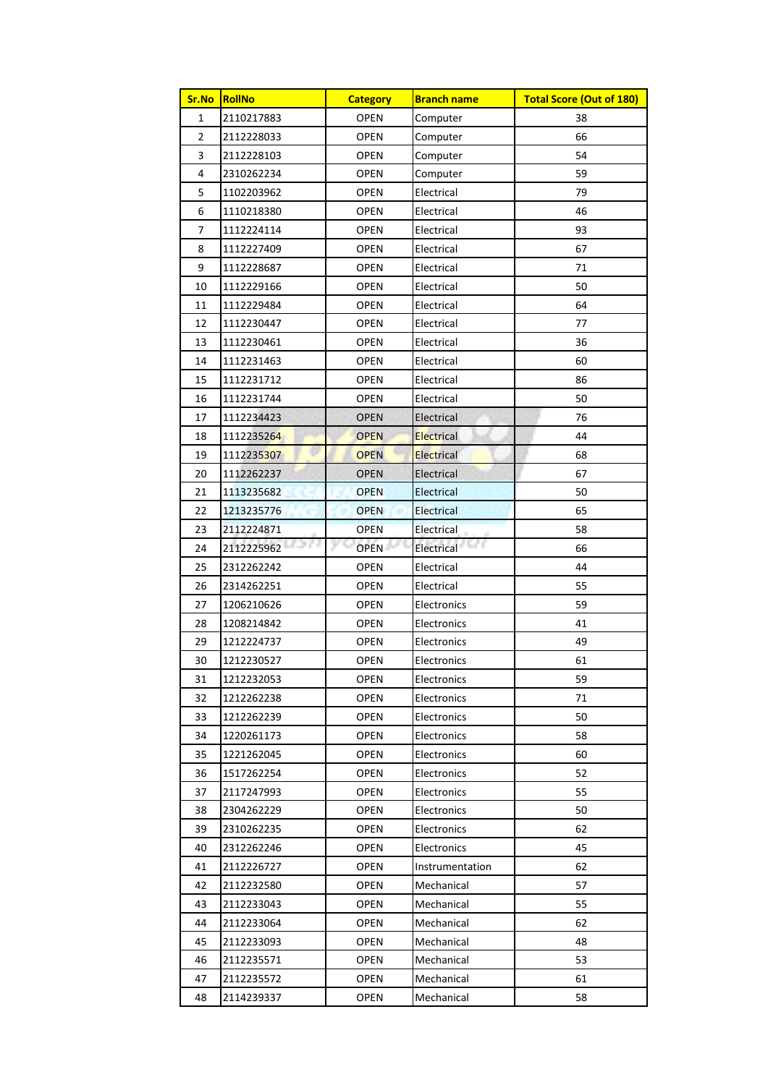| Sr.No          | <b>RollNo</b>        | <b>Category</b>   | <b>Branch name</b> | <b>Total Score (Out of 180)</b> |  |
|----------------|----------------------|-------------------|--------------------|---------------------------------|--|
| $\mathbf{1}$   | 2110217883           | OPEN              | Computer           | 38                              |  |
| $\overline{2}$ | 2112228033           | <b>OPEN</b>       | Computer           | 66                              |  |
| 3              | 2112228103           | <b>OPEN</b>       | Computer           | 54                              |  |
| 4              | 2310262234           | <b>OPEN</b>       | Computer           | 59                              |  |
| 5              | 1102203962           | <b>OPEN</b>       | Electrical         | 79                              |  |
| 6              | 1110218380           | OPEN              | Electrical         | 46                              |  |
| 7              | 1112224114           | <b>OPEN</b>       | Electrical         | 93                              |  |
| 8              | 1112227409           | OPEN              | Electrical         | 67                              |  |
| 9              | 1112228687           | <b>OPEN</b>       | Electrical         | 71                              |  |
| 10             | 1112229166           | <b>OPEN</b>       | Electrical         | 50                              |  |
| 11             | 1112229484           | <b>OPEN</b>       | Electrical         | 64                              |  |
| 12             | 1112230447           | <b>OPEN</b>       | Electrical         | 77                              |  |
| 13             | 1112230461           | <b>OPEN</b>       | Electrical         | 36                              |  |
| 14             | 1112231463           | <b>OPEN</b>       | Electrical         | 60                              |  |
| 15             | 1112231712           | OPEN              | Electrical         | 86                              |  |
| 16             | 1112231744           | <b>OPEN</b>       | Electrical         | 50                              |  |
| 17             | 1112234423           | <b>OPEN</b>       | Electrical         | 76                              |  |
| 18             | 1112235264           | <b>OPEN</b>       | <b>Electrical</b>  | 44                              |  |
| 19             | 1112235307           | <b>OPEN</b>       | Electrical         | 68                              |  |
| 20             | 1112262237           | <b>OPEN</b>       | Electrical         | 67                              |  |
| 21             | 1113235682           | <b>OPEN</b>       | Electrical         | 50                              |  |
| 22             | 1213235776           | <b>OPEN</b>       | <b>Electrical</b>  | 65                              |  |
| 23             | 2112224871           | <b>OPEN</b>       | Electrical         | 58                              |  |
| 24             | 21 F A<br>2112225962 | уQ<br><b>OPEN</b> | Electrical         | 66                              |  |
| 25             | 2312262242           | OPEN              | Electrical         | 44                              |  |
| 26             | 2314262251           | OPEN              | Electrical         | 55                              |  |
| 27             | 1206210626           | OPEN              | Electronics        | 59                              |  |
| 28             | 1208214842           | <b>OPEN</b>       | Electronics        | 41                              |  |
| 29             | 1212224737           | <b>OPEN</b>       | Electronics        | 49                              |  |
| 30             | 1212230527           | <b>OPEN</b>       | Electronics        | 61                              |  |
| 31             | 1212232053           | <b>OPEN</b>       | Electronics        | 59                              |  |
| 32             | 1212262238           | <b>OPEN</b>       | Electronics        | 71                              |  |
| 33             | 1212262239           | <b>OPEN</b>       | Electronics        | 50                              |  |
| 34             | 1220261173           | OPEN              | Electronics        | 58                              |  |
| 35             | 1221262045           | OPEN              | Electronics        | 60                              |  |
| 36             | 1517262254           | OPEN              | Electronics        | 52                              |  |
| 37             | 2117247993           | <b>OPEN</b>       | Electronics        | 55                              |  |
| 38             | 2304262229           | <b>OPEN</b>       | Electronics        | 50                              |  |
| 39             | 2310262235           | OPEN              | Electronics        | 62                              |  |
| 40             | 2312262246           | <b>OPEN</b>       | Electronics        | 45                              |  |
| 41             | 2112226727           | <b>OPEN</b>       | Instrumentation    | 62                              |  |
| 42             | 2112232580           | <b>OPEN</b>       | Mechanical         | 57                              |  |
| 43             | 2112233043           | <b>OPEN</b>       | Mechanical         | 55                              |  |
| 44             | 2112233064           | <b>OPEN</b>       | Mechanical         | 62                              |  |
| 45             | 2112233093           | <b>OPEN</b>       | Mechanical         | 48                              |  |
| 46             | 2112235571           | OPEN              | Mechanical         | 53                              |  |
| 47             | 2112235572           | <b>OPEN</b>       | Mechanical         | 61                              |  |
| 48             | 2114239337           | OPEN              | Mechanical         | 58                              |  |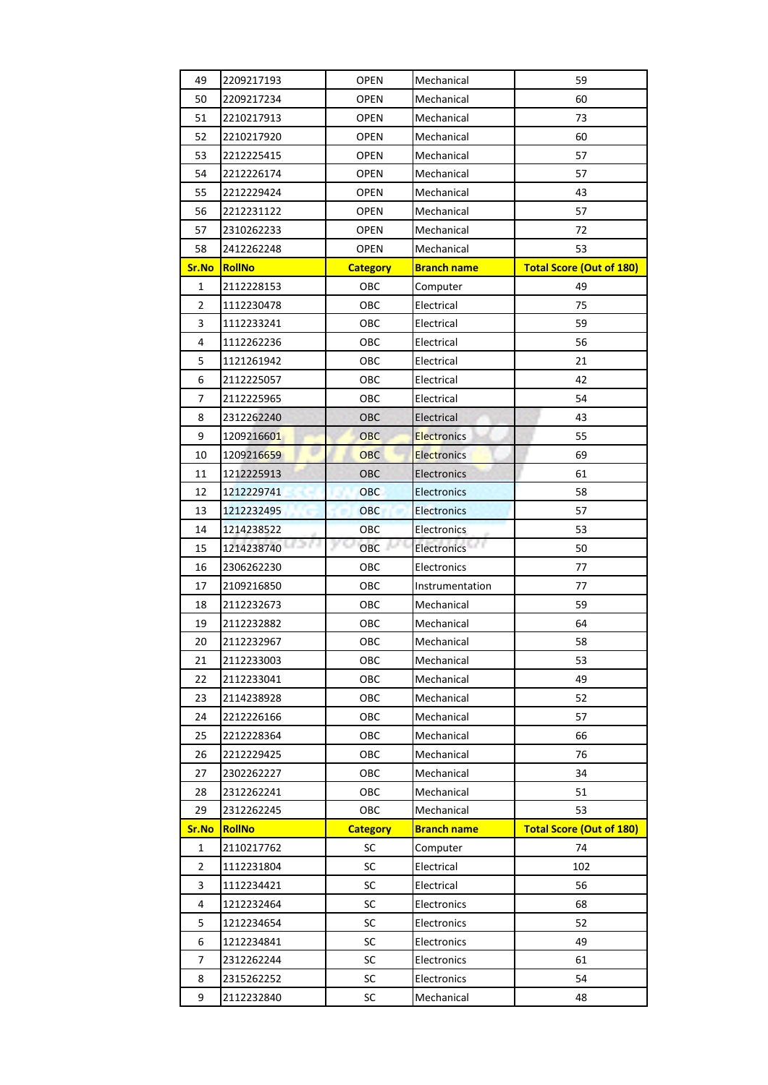| 49             | 2209217193          | <b>OPEN</b>     | Mechanical         | 59                              |
|----------------|---------------------|-----------------|--------------------|---------------------------------|
| 50             | 2209217234          | <b>OPEN</b>     | Mechanical         | 60                              |
| 51             | 2210217913          | <b>OPEN</b>     | Mechanical         | 73                              |
| 52             | 2210217920          | OPEN            | Mechanical         | 60                              |
| 53             | 2212225415          | <b>OPEN</b>     | Mechanical         | 57                              |
| 54             | 2212226174          | <b>OPEN</b>     | Mechanical         | 57                              |
| 55             | 2212229424          | <b>OPEN</b>     | Mechanical         | 43                              |
| 56             | 2212231122          | <b>OPEN</b>     | Mechanical         | 57                              |
| 57             | 2310262233          | <b>OPEN</b>     | Mechanical         | 72                              |
| 58             | 2412262248          | <b>OPEN</b>     | Mechanical         | 53                              |
| Sr.No          | <b>RollNo</b>       | <b>Category</b> | <b>Branch name</b> | <b>Total Score (Out of 180)</b> |
| $\mathbf{1}$   | 2112228153          | OBC             | Computer           | 49                              |
| $\overline{2}$ | 1112230478          | OBC             | Electrical         | 75                              |
| 3              | 1112233241          | OBC             | Electrical         | 59                              |
| 4              | 1112262236          | OBC             | Electrical         | 56                              |
| 5              | 1121261942          | OBC             | Electrical         | 21                              |
| 6              | 2112225057          | OBC             | Electrical         | 42                              |
| 7              | 2112225965          | OBC             | Electrical         | 54                              |
| 8              | 2312262240          | OBC             | Electrical         | 43                              |
| 9              | 1209216601          | <b>OBC</b>      | <b>Electronics</b> | 55                              |
| 10             | 1209216659          | <b>OBC</b>      | <b>Electronics</b> | 69                              |
| 11             | 1212225913          | OBC             | <b>Electronics</b> | 61                              |
| 12             | 1212229741          | <b>OBC</b>      | <b>Electronics</b> | 58                              |
| 13             | 1212232495<br>×.    | <b>OBC</b>      | <b>Electronics</b> | 57                              |
| 14             | 1214238522          | OBC             | Electronics        | 53                              |
| 15             | ra na<br>1214238740 | уQ<br>OBC       | Electronics        | 50                              |
| 16             | 2306262230          | OBC             | Electronics        | 77                              |
| 17             | 2109216850          | OBC             | Instrumentation    | 77                              |
| 18             | 2112232673          | OBC             | Mechanical         | 59                              |
| 19             | 2112232882          | OBC             | Mechanical         | 64                              |
| 20             | 2112232967          | OBC             | Mechanical         | 58                              |
| 21             | 2112233003          | OBC             | Mechanical         | 53                              |
| 22             | 2112233041          | OBC             | Mechanical         | 49                              |
| 23             | 2114238928          | OBC             | Mechanical         | 52                              |
| 24             | 2212226166          | OBC             | Mechanical         | 57                              |
| 25             |                     |                 |                    |                                 |
| 26             | 2212228364          | OBC             | Mechanical         | 66                              |
|                | 2212229425          | OBC             | Mechanical         | 76                              |
| 27             | 2302262227          | OBC             | Mechanical         | 34                              |
| 28             | 2312262241          | OBC             | Mechanical         | 51                              |
| 29             | 2312262245          | OBC             | Mechanical         | 53                              |
| Sr.No          | <b>RollNo</b>       | <b>Category</b> | <b>Branch name</b> | <b>Total Score (Out of 180)</b> |
| $\mathbf{1}$   | 2110217762          | SC              | Computer           | 74                              |
| $\overline{2}$ | 1112231804          | SC              | Electrical         | 102                             |
| 3              | 1112234421          | SC              | Electrical         | 56                              |
| 4              | 1212232464          | SC              | Electronics        | 68                              |
| 5              | 1212234654          | SC              | Electronics        | 52                              |
| 6              | 1212234841          | SC              | Electronics        | 49                              |
| 7              | 2312262244          | SC              | Electronics        | 61                              |
| 8              | 2315262252          | SC              | Electronics        | 54                              |